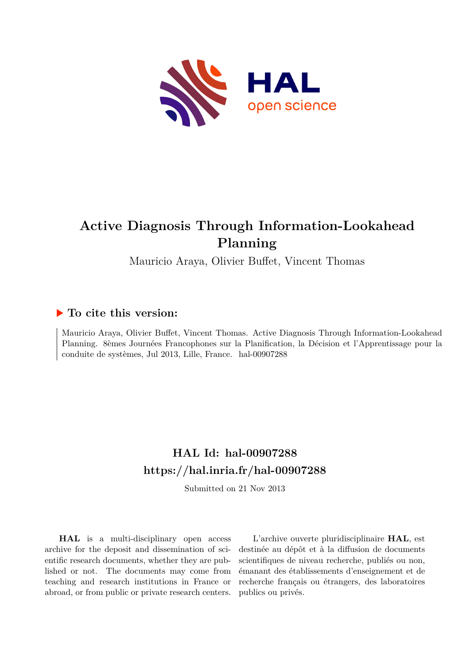

# **Active Diagnosis Through Information-Lookahead Planning**

Mauricio Araya, Olivier Buffet, Vincent Thomas

## **To cite this version:**

Mauricio Araya, Olivier Buffet, Vincent Thomas. Active Diagnosis Through Information-Lookahead Planning. 8èmes Journées Francophones sur la Planification, la Décision et l'Apprentissage pour la conduite de systèmes, Jul 2013, Lille, France. hal-00907288

## **HAL Id: hal-00907288 <https://hal.inria.fr/hal-00907288>**

Submitted on 21 Nov 2013

**HAL** is a multi-disciplinary open access archive for the deposit and dissemination of scientific research documents, whether they are published or not. The documents may come from teaching and research institutions in France or abroad, or from public or private research centers.

L'archive ouverte pluridisciplinaire **HAL**, est destinée au dépôt et à la diffusion de documents scientifiques de niveau recherche, publiés ou non, émanant des établissements d'enseignement et de recherche français ou étrangers, des laboratoires publics ou privés.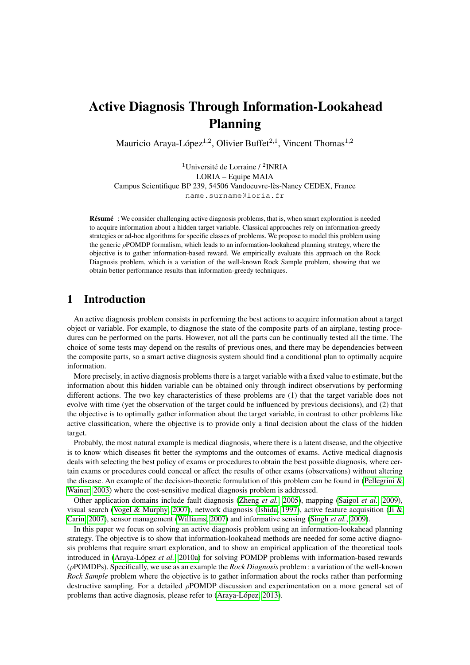## Active Diagnosis Through Information-Lookahead Planning

Mauricio Araya-López<sup>1,2</sup>, Olivier Buffet<sup>2,1</sup>, Vincent Thomas<sup>1,2</sup>

<sup>1</sup>Université de Lorraine / <sup>2</sup>INRIA LORIA – Equipe MAIA Campus Scientifique BP 239, 54506 Vandoeuvre-lès-Nancy CEDEX, France name.surname@loria.fr

Résumé : We consider challenging active diagnosis problems, that is, when smart exploration is needed to acquire information about a hidden target variable. Classical approaches rely on information-greedy strategies or ad-hoc algorithms for specific classes of problems. We propose to model this problem using the generic  $\rho$ POMDP formalism, which leads to an information-lookahead planning strategy, where the objective is to gather information-based reward. We empirically evaluate this approach on the Rock Diagnosis problem, which is a variation of the well-known Rock Sample problem, showing that we obtain better performance results than information-greedy techniques.

### 1 Introduction

An active diagnosis problem consists in performing the best actions to acquire information about a target object or variable. For example, to diagnose the state of the composite parts of an airplane, testing procedures can be performed on the parts. However, not all the parts can be continually tested all the time. The choice of some tests may depend on the results of previous ones, and there may be dependencies between the composite parts, so a smart active diagnosis system should find a conditional plan to optimally acquire information.

More precisely, in active diagnosis problems there is a target variable with a fixed value to estimate, but the information about this hidden variable can be obtained only through indirect observations by performing different actions. The two key characteristics of these problems are (1) that the target variable does not evolve with time (yet the observation of the target could be influenced by previous decisions), and (2) that the objective is to optimally gather information about the target variable, in contrast to other problems like active classification, where the objective is to provide only a final decision about the class of the hidden target.

Probably, the most natural example is medical diagnosis, where there is a latent disease, and the objective is to know which diseases fit better the symptoms and the outcomes of exams. Active medical diagnosis deals with selecting the best policy of exams or procedures to obtain the best possible diagnosis, where certain exams or procedures could conceal or affect the results of other exams (observations) without altering the disease. An example of the decision-theoretic formulation of this problem can be found in (Pellegrini  $\&$ [Wainer, 2003\)](#page-14-0) where the cost-sensitive medical diagnosis problem is addressed.

Other application domains include fault diagnosis [\(Zheng](#page-14-1) *et al.*, [2005\)](#page-14-1), mapping [\(Saigol](#page-14-2) *et al.*, [2009\)](#page-14-2), visual search [\(Vogel & Murphy, 2007\)](#page-14-3), network diagnosis [\(Ishida, 1997\)](#page-13-0), active feature acquisition [\(Ji &](#page-13-1) [Carin, 2007\)](#page-13-1), sensor management [\(Williams, 2007\)](#page-14-4) and informative sensing [\(Singh](#page-14-5) *et al.*, [2009\)](#page-14-5).

In this paper we focus on solving an active diagnosis problem using an information-lookahead planning strategy. The objective is to show that information-lookahead methods are needed for some active diagnosis problems that require smart exploration, and to show an empirical application of the theoretical tools introduced in [\(Araya-López](#page-13-2) *et al.*, [2010a\)](#page-13-2) for solving POMDP problems with information-based rewards (ρPOMDPs). Specifically, we use as an example the *Rock Diagnosis* problem : a variation of the well-known *Rock Sample* problem where the objective is to gather information about the rocks rather than performing destructive sampling. For a detailed  $\rho$ POMDP discussion and experimentation on a more general set of problems than active diagnosis, please refer to [\(Araya-López, 2013\)](#page-13-3).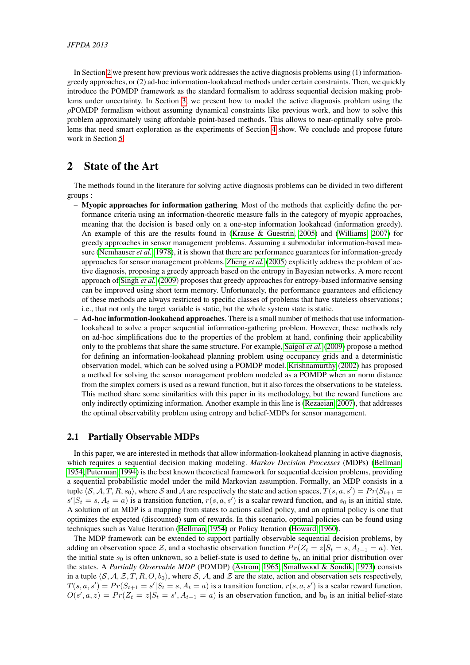In Section [2](#page-2-0) we present how previous work addresses the active diagnosis problems using (1) informationgreedy approaches, or (2) ad-hoc information-lookahead methods under certain constraints. Then, we quickly introduce the POMDP framework as the standard formalism to address sequential decision making problems under uncertainty. In Section [3,](#page-4-0) we present how to model the active diagnosis problem using the  $\rho$ POMDP formalism without assuming dynamical constraints like previous work, and how to solve this problem approximately using affordable point-based methods. This allows to near-optimally solve problems that need smart exploration as the experiments of Section [4](#page-8-0) show. We conclude and propose future work in Section [5.](#page-12-0)

## <span id="page-2-0"></span>2 State of the Art

The methods found in the literature for solving active diagnosis problems can be divided in two different groups :

- Myopic approaches for information gathering. Most of the methods that explicitly define the performance criteria using an information-theoretic measure falls in the category of myopic approaches, meaning that the decision is based only on a one-step information lookahead (information greedy). An example of this are the results found in [\(Krause & Guestrin, 2005\)](#page-13-4) and [\(Williams, 2007\)](#page-14-4) for greedy approaches in sensor management problems. Assuming a submodular information-based measure [\(Nemhauser](#page-14-6) *et al.*, [1978\)](#page-14-6), it is shown that there are performance guarantees for information-greedy approaches for sensor management problems. [Zheng](#page-14-1) *et al.* [\(2005\)](#page-14-1) explicitly address the problem of active diagnosis, proposing a greedy approach based on the entropy in Bayesian networks. A more recent approach of [Singh](#page-14-5) *et al.* [\(2009\)](#page-14-5) proposes that greedy approaches for entropy-based informative sensing can be improved using short term memory. Unfortunately, the performance guarantees and efficiency of these methods are always restricted to specific classes of problems that have stateless observations ; i.e., that not only the target variable is static, but the whole system state is static.
- Ad-hoc information-lookahead approaches. There is a small number of methods that use informationlookahead to solve a proper sequential information-gathering problem. However, these methods rely on ad-hoc simplifications due to the properties of the problem at hand, confining their applicability only to the problems that share the same structure. For example, [Saigol](#page-14-2) *et al.* [\(2009\)](#page-14-2) propose a method for defining an information-lookahead planning problem using occupancy grids and a deterministic observation model, which can be solved using a POMDP model. [Krishnamurthy](#page-13-5) [\(2002\)](#page-13-5) has proposed a method for solving the sensor management problem modeled as a POMDP when an norm distance from the simplex corners is used as a reward function, but it also forces the observations to be stateless. This method share some similarities with this paper in its methodology, but the reward functions are only indirectly optimizing information. Another example in this line is [\(Rezaeian, 2007\)](#page-14-7), that addresses the optimal observability problem using entropy and belief-MDPs for sensor management.

#### <span id="page-2-1"></span>2.1 Partially Observable MDPs

In this paper, we are interested in methods that allow information-lookahead planning in active diagnosis, which requires a sequential decision making modeling. *Markov Decision Processes* (MDPs) [\(Bellman,](#page-13-6) [1954;](#page-13-6) [Puterman, 1994\)](#page-14-8) is the best known theoretical framework for sequential decision problems, providing a sequential probabilistic model under the mild Markovian assumption. Formally, an MDP consists in a tuple  $\langle S, A, T, R, s_0 \rangle$ , where S and A are respectively the state and action spaces,  $T(s, a, s') = Pr(S_{t+1} = s)$  $s'|S_t = s, A_t = a)$  is a transition function,  $r(s, a, s')$  is a scalar reward function, and  $s_0$  is an initial state. A solution of an MDP is a mapping from states to actions called policy, and an optimal policy is one that optimizes the expected (discounted) sum of rewards. In this scenario, optimal policies can be found using techniques such as Value Iteration [\(Bellman, 1954\)](#page-13-6) or Policy Iteration [\(Howard, 1960\)](#page-13-7).

The MDP framework can be extended to support partially observable sequential decision problems, by adding an observation space Z, and a stochastic observation function  $Pr(Z_t = z | S_t = s, A_{t-1} = a)$ . Yet, the initial state  $s_0$  is often unknown, so a belief-state is used to define  $b_0$ , an initial prior distribution over the states. A *Partially Observable MDP* (POMDP) [\(Astrom, 1965;](#page-13-8) [Smallwood & Sondik, 1973\)](#page-14-9) consists in a tuple  $\langle S, A, Z, T, R, O, b_0 \rangle$ , where S, A, and Z are the state, action and observation sets respectively,  $T(s, a, s') = Pr(S_{t+1} = s'|S_t = s, A_t = a)$  is a transition function,  $r(s, a, s')$  is a scalar reward function,  $O(s', a, z) = Pr(Z_t = z | S_t = s', A_{t-1} = a)$  is an observation function, and  $b_0$  is an initial belief-state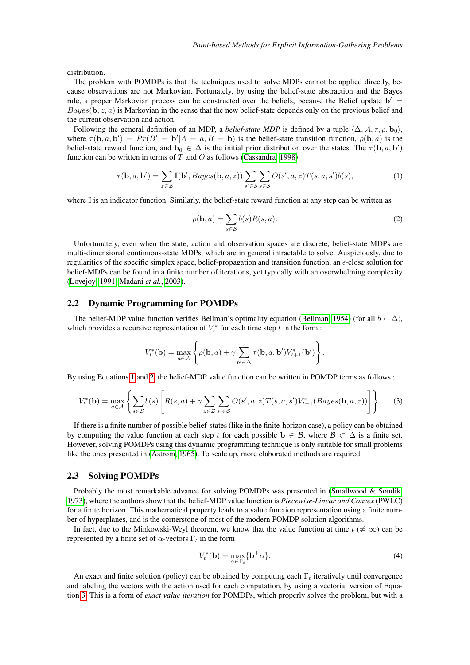distribution.

The problem with POMDPs is that the techniques used to solve MDPs cannot be applied directly, because observations are not Markovian. Fortunately, by using the belief-state abstraction and the Bayes rule, a proper Markovian process can be constructed over the beliefs, because the Belief update  $b' =$  $Bayes(\mathbf{b}, z, a)$  is Markovian in the sense that the new belief-state depends only on the previous belief and the current observation and action.

Following the general definition of an MDP, a *belief-state MDP* is defined by a tuple  $\langle \Delta, \mathcal{A}, \tau, \rho, \mathbf{b}_0 \rangle$ , where  $\tau(\mathbf{b}, a, \mathbf{b}') = Pr(B' = \mathbf{b}' | A = a, B = \mathbf{b})$  is the belief-state transition function,  $\rho(\mathbf{b}, a)$  is the belief-state reward function, and  $\mathbf{b}_0 \in \Delta$  is the initial prior distribution over the states. The  $\tau(\mathbf{b}, a, \mathbf{b}')$ function can be written in terms of  $T$  and  $O$  as follows [\(Cassandra, 1998\)](#page-13-9)

$$
\tau(\mathbf{b}, a, \mathbf{b}') = \sum_{z \in \mathcal{Z}} \mathbb{I}(\mathbf{b}', Bayes(\mathbf{b}, a, z)) \sum_{s' \in \mathcal{S}} \sum_{s \in \mathcal{S}} O(s', a, z) T(s, a, s') b(s), \tag{1}
$$

where  $\mathbb I$  is an indicator function. Similarly, the belief-state reward function at any step can be written as

<span id="page-3-1"></span><span id="page-3-0"></span>
$$
\rho(\mathbf{b}, a) = \sum_{s \in \mathcal{S}} b(s) R(s, a). \tag{2}
$$

Unfortunately, even when the state, action and observation spaces are discrete, belief-state MDPs are multi-dimensional continuous-state MDPs, which are in general intractable to solve. Auspiciously, due to regularities of the specific simplex space, belief-propagation and transition function, an  $\epsilon$ -close solution for belief-MDPs can be found in a finite number of iterations, yet typically with an overwhelming complexity [\(Lovejoy, 1991;](#page-13-10) [Madani](#page-13-11) *et al.*, [2003\)](#page-13-11).

#### 2.2 Dynamic Programming for POMDPs

The belief-MDP value function verifies Bellman's optimality equation [\(Bellman, 1954\)](#page-13-6) (for all  $b \in \Delta$ ), which provides a recursive representation of  $V_t^*$  for each time step t in the form :

$$
V_t^*(\mathbf{b}) = \max_{a \in \mathcal{A}} \left\{ \rho(\mathbf{b}, a) + \gamma \sum_{b' \in \Delta} \tau(\mathbf{b}, a, \mathbf{b}') V_{t+1}^*(\mathbf{b}') \right\}.
$$

By using Equations [1](#page-3-0) and [2,](#page-3-1) the belief-MDP value function can be written in POMDP terms as follows :

$$
V_t^*(\mathbf{b}) = \max_{a \in \mathcal{A}} \left\{ \sum_{s \in \mathcal{S}} b(s) \left[ R(s, a) + \gamma \sum_{z \in \mathcal{Z}} \sum_{s' \in \mathcal{S}} O(s', a, z) T(s, a, s') V_{t-1}^*(Bayes(\mathbf{b}, a, z)) \right] \right\}.
$$
 (3)

If there is a finite number of possible belief-states (like in the finite-horizon case), a policy can be obtained by computing the value function at each step t for each possible  $\mathbf{b} \in \mathcal{B}$ , where  $\mathcal{B} \subset \Delta$  is a finite set. However, solving POMDPs using this dynamic programming technique is only suitable for small problems like the ones presented in [\(Astrom, 1965\)](#page-13-8). To scale up, more elaborated methods are required.

#### <span id="page-3-3"></span>2.3 Solving POMDPs

Probably the most remarkable advance for solving POMDPs was presented in [\(Smallwood & Sondik,](#page-14-9) [1973\)](#page-14-9), where the authors show that the belief-MDP value function is *Piecewise-Linear and Convex* (PWLC) for a finite horizon. This mathematical property leads to a value function representation using a finite number of hyperplanes, and is the cornerstone of most of the modern POMDP solution algorithms.

In fact, due to the Minkowski-Weyl theorem, we know that the value function at time  $t \neq \infty$ ) can be represented by a finite set of  $\alpha$ -vectors  $\Gamma_t$  in the form

<span id="page-3-2"></span>
$$
V_t^*(\mathbf{b}) = \max_{\alpha \in \Gamma_t} \{ \mathbf{b}^\top \alpha \}. \tag{4}
$$

An exact and finite solution (policy) can be obtained by computing each  $\Gamma_t$  iteratively until convergence and labeling the vectors with the action used for each computation, by using a vectorial version of Equation [3.](#page-3-2) This is a form of *exact value iteration* for POMDPs, which properly solves the problem, but with a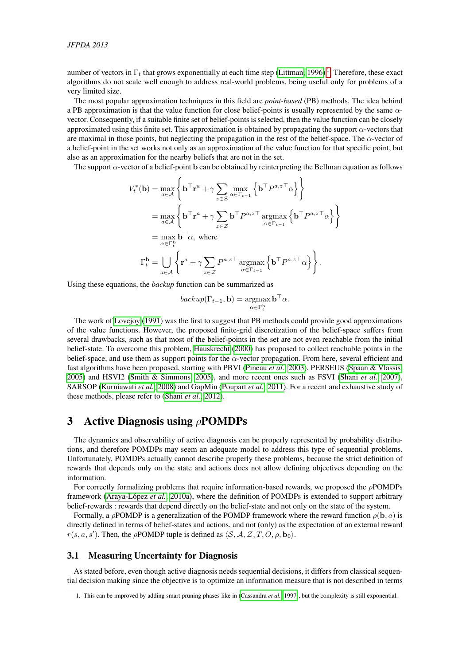number of vectors in  $\Gamma_t$  that grows exponentially at each time step [\(Littman, 1996\)](#page-13-12)<sup>[1](#page-4-1)</sup>. Therefore, these exact algorithms do not scale well enough to address real-world problems, being useful only for problems of a very limited size.

The most popular approximation techniques in this field are *point-based* (PB) methods. The idea behind a PB approximation is that the value function for close belief-points is usually represented by the same  $\alpha$ vector. Consequently, if a suitable finite set of belief-points is selected, then the value function can be closely approximated using this finite set. This approximation is obtained by propagating the support α-vectors that are maximal in those points, but neglecting the propagation in the rest of the belief-space. The  $\alpha$ -vector of a belief-point in the set works not only as an approximation of the value function for that specific point, but also as an approximation for the nearby beliefs that are not in the set.

The support  $\alpha$ -vector of a belief-point b can be obtained by reinterpreting the Bellman equation as follows

$$
V_t^*(\mathbf{b}) = \max_{a \in \mathcal{A}} \left\{ \mathbf{b}^\top \mathbf{r}^a + \gamma \sum_{z \in \mathcal{Z}} \max_{\alpha \in \Gamma_{t-1}} \left\{ \mathbf{b}^\top P^{a,z\top} \alpha \right\} \right\}
$$
  
\n
$$
= \max_{a \in \mathcal{A}} \left\{ \mathbf{b}^\top \mathbf{r}^a + \gamma \sum_{z \in \mathcal{Z}} \mathbf{b}^\top P^{a,z\top} \operatorname*{argmax}_{\alpha \in \Gamma_{t-1}} \left\{ \mathbf{b}^\top P^{a,z\top} \alpha \right\} \right\}
$$
  
\n
$$
= \max_{\alpha \in \Gamma_t^{\mathbf{b}}} \mathbf{b}^\top \alpha, \text{ where}
$$
  
\n
$$
\Gamma_t^{\mathbf{b}} = \bigcup_{a \in \mathcal{A}} \left\{ \mathbf{r}^a + \gamma \sum_{z \in \mathcal{Z}} P^{a,z\top} \operatorname*{argmax}_{\alpha \in \Gamma_{t-1}} \left\{ \mathbf{b}^\top P^{a,z\top} \alpha \right\} \right\}.
$$

Using these equations, the *backup* function can be summarized as

$$
backup(\Gamma_{t-1}, \mathbf{b}) = \operatorname*{argmax}_{\alpha \in \Gamma_t^{\mathbf{b}}} \mathbf{b}^\top \alpha.
$$

The work of [Lovejoy \(1991\)](#page-13-10) was the first to suggest that PB methods could provide good approximations of the value functions. However, the proposed finite-grid discretization of the belief-space suffers from several drawbacks, such as that most of the belief-points in the set are not even reachable from the initial belief-state. To overcome this problem, [Hauskrecht \(2000\)](#page-13-13) has proposed to collect reachable points in the belief-space, and use them as support points for the  $\alpha$ -vector propagation. From here, several efficient and fast algorithms have been proposed, starting with PBVI [\(Pineau](#page-14-10) *et al.*, [2003\)](#page-14-10), PERSEUS [\(Spaan & Vlassis,](#page-14-11) [2005\)](#page-14-11) and HSVI2 [\(Smith & Simmons, 2005\)](#page-14-12), and more recent ones such as FSVI [\(Shani](#page-14-13) *et al.*, [2007\)](#page-14-13), SARSOP [\(Kurniawati](#page-13-14) *et al.*, [2008\)](#page-13-14) and GapMin [\(Poupart](#page-14-14) *et al.*, [2011\)](#page-14-14). For a recent and exhaustive study of these methods, please refer to [\(Shani](#page-14-15) *et al.*, [2012\)](#page-14-15).

### <span id="page-4-0"></span>3 Active Diagnosis using ρPOMDPs

The dynamics and observability of active diagnosis can be properly represented by probability distributions, and therefore POMDPs may seem an adequate model to address this type of sequential problems. Unfortunately, POMDPs actually cannot describe properly these problems, because the strict definition of rewards that depends only on the state and actions does not allow defining objectives depending on the information.

For correctly formalizing problems that require information-based rewards, we proposed the ρPOMDPs framework [\(Araya-López](#page-13-2) *et al.*, [2010a\)](#page-13-2), where the definition of POMDPs is extended to support arbitrary belief-rewards : rewards that depend directly on the belief-state and not only on the state of the system.

Formally, a ρPOMDP is a generalization of the POMDP framework where the reward function  $\rho(\mathbf{b}, a)$  is directly defined in terms of belief-states and actions, and not (only) as the expectation of an external reward  $r(s, a, s')$ . Then, the  $\rho$ POMDP tuple is defined as  $\langle S, A, Z, T, O, \rho, \mathbf{b}_0 \rangle$ .

#### 3.1 Measuring Uncertainty for Diagnosis

As stated before, even though active diagnosis needs sequential decisions, it differs from classical sequential decision making since the objective is to optimize an information measure that is not described in terms

<span id="page-4-1"></span><sup>1.</sup> This can be improved by adding smart pruning phases like in [\(Cassandra](#page-13-15) *et al.*, [1997\)](#page-13-15), but the complexity is still exponential.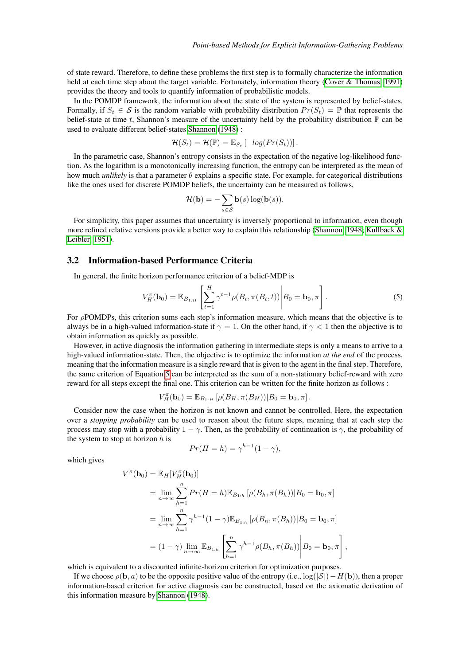of state reward. Therefore, to define these problems the first step is to formally characterize the information held at each time step about the target variable. Fortunately, information theory [\(Cover & Thomas, 1991\)](#page-13-16) provides the theory and tools to quantify information of probabilistic models.

In the POMDP framework, the information about the state of the system is represented by belief-states. Formally, if  $S_t \in \mathcal{S}$  is the random variable with probability distribution  $Pr(S_t) = \mathbb{P}$  that represents the belief-state at time t, Shannon's measure of the uncertainty held by the probability distribution  $\mathbb P$  can be used to evaluate different belief-states [Shannon \(1948\)](#page-14-16) :

$$
\mathcal{H}(S_t) = \mathcal{H}(\mathbb{P}) = \mathbb{E}_{S_t} \left[ -log(Pr(S_t)) \right].
$$

In the parametric case, Shannon's entropy consists in the expectation of the negative log-likelihood function. As the logarithm is a monotonically increasing function, the entropy can be interpreted as the mean of how much *unlikely* is that a parameter θ explains a specific state. For example, for categorical distributions like the ones used for discrete POMDP beliefs, the uncertainty can be measured as follows,

<span id="page-5-0"></span>
$$
\mathcal{H}(\mathbf{b}) = -\sum_{s \in \mathcal{S}} \mathbf{b}(s) \log(\mathbf{b}(s)).
$$

For simplicity, this paper assumes that uncertainty is inversely proportional to information, even though more refined relative versions provide a better way to explain this relationship [\(Shannon, 1948;](#page-14-16) [Kullback &](#page-13-17) [Leibler, 1951\)](#page-13-17).

#### <span id="page-5-1"></span>3.2 Information-based Performance Criteria

In general, the finite horizon performance criterion of a belief-MDP is

$$
V_H^{\pi}(\mathbf{b}_0) = \mathbb{E}_{B_{1:H}} \left[ \sum_{t=1}^H \gamma^{t-1} \rho(B_t, \pi(B_t, t)) \middle| B_0 = \mathbf{b}_0, \pi \right].
$$
 (5)

For ρPOMDPs, this criterion sums each step's information measure, which means that the objective is to always be in a high-valued information-state if  $\gamma = 1$ . On the other hand, if  $\gamma < 1$  then the objective is to obtain information as quickly as possible.

However, in active diagnosis the information gathering in intermediate steps is only a means to arrive to a high-valued information-state. Then, the objective is to optimize the information *at the end* of the process, meaning that the information measure is a single reward that is given to the agent in the final step. Therefore, the same criterion of Equation [5](#page-5-0) can be interpreted as the sum of a non-stationary belief-reward with zero reward for all steps except the final one. This criterion can be written for the finite horizon as follows :

$$
V_H^{\pi}(\mathbf{b}_0) = \mathbb{E}_{B_{1:H}} \left[ \rho(B_H, \pi(B_H)) | B_0 = \mathbf{b}_0, \pi \right].
$$

Consider now the case when the horizon is not known and cannot be controlled. Here, the expectation over a *stopping probability* can be used to reason about the future steps, meaning that at each step the process may stop with a probability  $1 - \gamma$ . Then, as the probability of continuation is  $\gamma$ , the probability of the system to stop at horizon  $h$  is

$$
Pr(H = h) = \gamma^{h-1}(1 - \gamma),
$$

which gives

$$
V^{\pi}(\mathbf{b}_{0}) = \mathbb{E}_{H}[V_{H}^{\pi}(\mathbf{b}_{0})]
$$
  
\n
$$
= \lim_{n \to \infty} \sum_{h=1}^{n} Pr(H = h) \mathbb{E}_{B_{1:h}} [\rho(B_{h}, \pi(B_{h})) | B_{0} = \mathbf{b}_{0}, \pi]
$$
  
\n
$$
= \lim_{n \to \infty} \sum_{h=1}^{n} \gamma^{h-1} (1 - \gamma) \mathbb{E}_{B_{1:h}} [\rho(B_{h}, \pi(B_{h})) | B_{0} = \mathbf{b}_{0}, \pi]
$$
  
\n
$$
= (1 - \gamma) \lim_{n \to \infty} \mathbb{E}_{B_{1:h}} \left[ \sum_{h=1}^{n} \gamma^{h-1} \rho(B_{h}, \pi(B_{h})) \middle| B_{0} = \mathbf{b}_{0}, \pi \right]
$$

,

which is equivalent to a discounted infinite-horizon criterion for optimization purposes.

If we choose  $\rho(\mathbf{b}, a)$  to be the opposite positive value of the entropy (i.e.,  $\log(|\mathcal{S}|)-H(\mathbf{b})$ ), then a proper information-based criterion for active diagnosis can be constructed, based on the axiomatic derivation of this information measure by [Shannon \(1948\)](#page-14-16).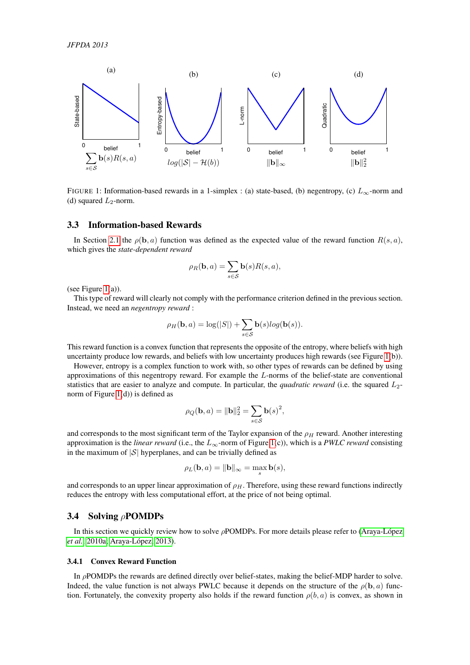<span id="page-6-0"></span>

FIGURE 1: Information-based rewards in a 1-simplex : (a) state-based, (b) negentropy, (c)  $L_{\infty}$ -norm and (d) squared  $L_2$ -norm.

#### <span id="page-6-1"></span>3.3 Information-based Rewards

In Section [2.1](#page-2-1) the  $\rho(\mathbf{b}, a)$  function was defined as the expected value of the reward function  $R(s, a)$ , which gives the *state-dependent reward*

$$
\rho_R(\mathbf{b}, a) = \sum_{s \in \mathcal{S}} \mathbf{b}(s) R(s, a),
$$

(see Figure  $1(a)$ ).

This type of reward will clearly not comply with the performance criterion defined in the previous section. Instead, we need an *negentropy reward* :

$$
\rho_H(\mathbf{b}, a) = \log(|S|) + \sum_{s \in S} \mathbf{b}(s) \log(\mathbf{b}(s)).
$$

This reward function is a convex function that represents the opposite of the entropy, where beliefs with high uncertainty produce low rewards, and beliefs with low uncertainty produces high rewards (see Figure [1\(](#page-6-0)b)).

However, entropy is a complex function to work with, so other types of rewards can be defined by using approximations of this negentropy reward. For example the L-norms of the belief-state are conventional statistics that are easier to analyze and compute. In particular, the *quadratic reward* (i.e. the squared L2 norm of Figure [1\(](#page-6-0)d)) is defined as

$$
\rho_Q(\mathbf{b}, a) = \|\mathbf{b}\|_2^2 = \sum_{s \in \mathcal{S}} \mathbf{b}(s)^2,
$$

and corresponds to the most significant term of the Taylor expansion of the  $\rho_H$  reward. Another interesting approximation is the *linear reward* (i.e., the  $L_{\infty}$ -norm of Figure [1\(](#page-6-0)c)), which is a *PWLC reward* consisting in the maximum of  $|S|$  hyperplanes, and can be trivially defined as

$$
\rho_L(\mathbf{b}, a) = \|\mathbf{b}\|_{\infty} = \max_s \mathbf{b}(s),
$$

and corresponds to an upper linear approximation of  $\rho_H$ . Therefore, using these reward functions indirectly reduces the entropy with less computational effort, at the price of not being optimal.

#### 3.4 Solving ρPOMDPs

In this section we quickly review how to solve ρPOMDPs. For more details please refer to [\(Araya-López](#page-13-2) *[et al.](#page-13-2)*, [2010a;](#page-13-2) [Araya-López, 2013\)](#page-13-3).

#### 3.4.1 Convex Reward Function

In  $\rho$ POMDPs the rewards are defined directly over belief-states, making the belief-MDP harder to solve. Indeed, the value function is not always PWLC because it depends on the structure of the  $\rho(\mathbf{b}, a)$  function. Fortunately, the convexity property also holds if the reward function  $\rho(b, a)$  is convex, as shown in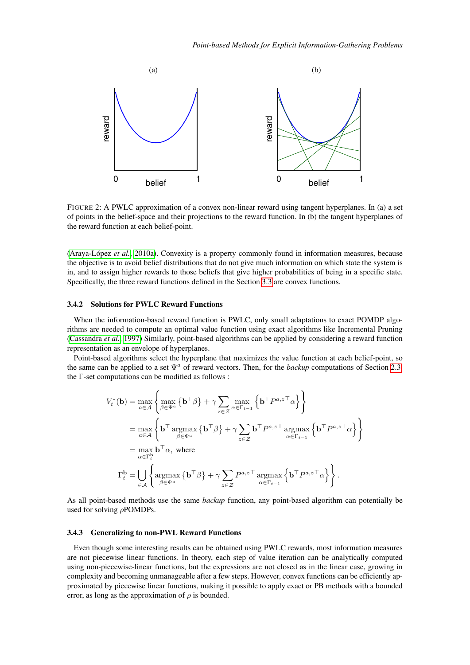<span id="page-7-0"></span>

FIGURE 2: A PWLC approximation of a convex non-linear reward using tangent hyperplanes. In (a) a set of points in the belief-space and their projections to the reward function. In (b) the tangent hyperplanes of the reward function at each belief-point.

[\(Araya-López](#page-13-2) *et al.*, [2010a\)](#page-13-2). Convexity is a property commonly found in information measures, because the objective is to avoid belief distributions that do not give much information on which state the system is in, and to assign higher rewards to those beliefs that give higher probabilities of being in a specific state. Specifically, the three reward functions defined in the Section [3.3](#page-6-1) are convex functions.

#### 3.4.2 Solutions for PWLC Reward Functions

When the information-based reward function is PWLC, only small adaptations to exact POMDP algorithms are needed to compute an optimal value function using exact algorithms like Incremental Pruning [\(Cassandra](#page-13-15) *et al.*, [1997\)](#page-13-15) Similarly, point-based algorithms can be applied by considering a reward function representation as an envelope of hyperplanes.

Point-based algorithms select the hyperplane that maximizes the value function at each belief-point, so the same can be applied to a set  $\Psi^a$  of reward vectors. Then, for the *backup* computations of Section [2.3,](#page-3-3) the Γ-set computations can be modified as follows :

$$
V_t^*(\mathbf{b}) = \max_{a \in \mathcal{A}} \left\{ \max_{\beta \in \Psi^a} \left\{ \mathbf{b}^\top \beta \right\} + \gamma \sum_{z \in \mathcal{Z}} \max_{\alpha \in \Gamma_{t-1}} \left\{ \mathbf{b}^\top P^{a,z\top} \alpha \right\} \right\}
$$
  
\n
$$
= \max_{a \in \mathcal{A}} \left\{ \mathbf{b}^\top \operatorname*{argmax}_{\beta \in \Psi^a} \left\{ \mathbf{b}^\top \beta \right\} + \gamma \sum_{z \in \mathcal{Z}} \mathbf{b}^\top P^{a,z\top} \operatorname*{argmax}_{\alpha \in \Gamma_{t-1}} \left\{ \mathbf{b}^\top P^{a,z\top} \alpha \right\} \right\}
$$
  
\n
$$
= \max_{\alpha \in \Gamma_t^b} \mathbf{b}^\top \alpha, \text{ where}
$$
  
\n
$$
\Gamma_t^{\mathbf{b}} = \bigcup_{\alpha \in \mathcal{A}} \left\{ \operatorname*{argmax}_{\beta \in \Psi^a} \left\{ \mathbf{b}^\top \beta \right\} + \gamma \sum_{z \in \mathcal{Z}} P^{a,z\top} \operatorname*{argmax}_{\alpha \in \Gamma_{t-1}} \left\{ \mathbf{b}^\top P^{a,z\top} \alpha \right\} \right\}.
$$

As all point-based methods use the same *backup* function, any point-based algorithm can potentially be used for solving  $\rho$ POMDPs.

#### 3.4.3 Generalizing to non-PWL Reward Functions

Even though some interesting results can be obtained using PWLC rewards, most information measures are not piecewise linear functions. In theory, each step of value iteration can be analytically computed using non-piecewise-linear functions, but the expressions are not closed as in the linear case, growing in complexity and becoming unmanageable after a few steps. However, convex functions can be efficiently approximated by piecewise linear functions, making it possible to apply exact or PB methods with a bounded error, as long as the approximation of  $\rho$  is bounded.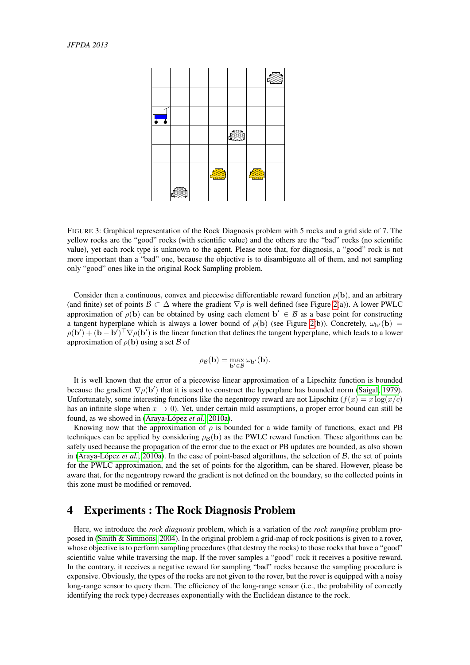<span id="page-8-1"></span>

| $\blacksquare$ |  |  |  |
|----------------|--|--|--|
|                |  |  |  |
|                |  |  |  |
|                |  |  |  |
|                |  |  |  |

FIGURE 3: Graphical representation of the Rock Diagnosis problem with 5 rocks and a grid side of 7. The yellow rocks are the "good" rocks (with scientific value) and the others are the "bad" rocks (no scientific value), yet each rock type is unknown to the agent. Please note that, for diagnosis, a "good" rock is not more important than a "bad" one, because the objective is to disambiguate all of them, and not sampling only "good" ones like in the original Rock Sampling problem.

Consider then a continuous, convex and piecewise differentiable reward function  $\rho(\mathbf{b})$ , and an arbitrary (and finite) set of points  $\mathcal{B} \subset \Delta$  where the gradient  $\nabla \rho$  is well defined (see Figure [2\(](#page-7-0)a)). A lower PWLC approximation of  $\rho$ (b) can be obtained by using each element  $\mathbf{b}' \in \mathcal{B}$  as a base point for constructing a tangent hyperplane which is always a lower bound of  $\rho$ (b) (see Figure [2\(](#page-7-0)b)). Concretely,  $\omega_{\bf b'}({\bf b})$  =  $\rho(\mathbf{b}') + (\mathbf{b} - \mathbf{b}')^\top \nabla \rho(\mathbf{b}')$  is the linear function that defines the tangent hyperplane, which leads to a lower approximation of  $\rho$ (**b**) using a set B of

$$
\rho_{\mathcal{B}}(\mathbf{b}) = \max_{\mathbf{b}'\in\mathcal{B}}\omega_{\mathbf{b}'}(\mathbf{b}).
$$

It is well known that the error of a piecewise linear approximation of a Lipschitz function is bounded because the gradient  $\nabla \rho(\mathbf{b}')$  that it is used to construct the hyperplane has bounded norm [\(Saigal, 1979\)](#page-14-17). Unfortunately, some interesting functions like the negentropy reward are not Lipschitz  $(f(x) = x \log(x/c))$ has an infinite slope when  $x \to 0$ ). Yet, under certain mild assumptions, a proper error bound can still be found, as we showed in [\(Araya-López](#page-13-2) *et al.*, [2010a\)](#page-13-2).

Knowing now that the approximation of  $\rho$  is bounded for a wide family of functions, exact and PB techniques can be applied by considering  $\rho_B(b)$  as the PWLC reward function. These algorithms can be safely used because the propagation of the error due to the exact or PB updates are bounded, as also shown in [\(Araya-López](#page-13-2) *et al.*, [2010a\)](#page-13-2). In the case of point-based algorithms, the selection of B, the set of points for the PWLC approximation, and the set of points for the algorithm, can be shared. However, please be aware that, for the negentropy reward the gradient is not defined on the boundary, so the collected points in this zone must be modified or removed.

### <span id="page-8-0"></span>4 Experiments : The Rock Diagnosis Problem

Here, we introduce the *rock diagnosis* problem, which is a variation of the *rock sampling* problem proposed in [\(Smith & Simmons, 2004\)](#page-14-18). In the original problem a grid-map of rock positions is given to a rover, whose objective is to perform sampling procedures (that destroy the rocks) to those rocks that have a "good" scientific value while traversing the map. If the rover samples a "good" rock it receives a positive reward. In the contrary, it receives a negative reward for sampling "bad" rocks because the sampling procedure is expensive. Obviously, the types of the rocks are not given to the rover, but the rover is equipped with a noisy long-range sensor to query them. The efficiency of the long-range sensor (i.e., the probability of correctly identifying the rock type) decreases exponentially with the Euclidean distance to the rock.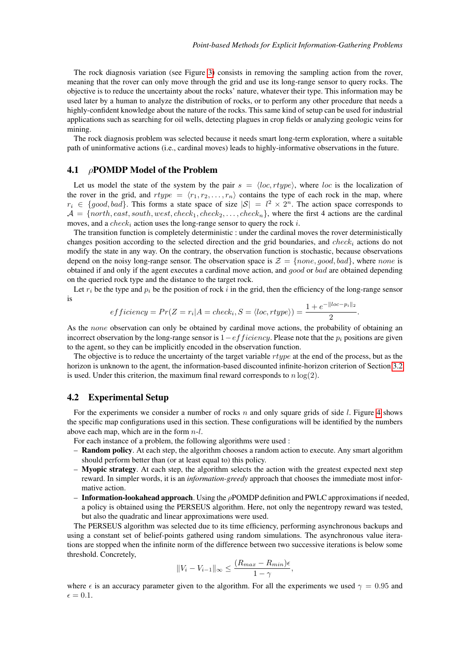The rock diagnosis variation (see Figure [3\)](#page-8-1) consists in removing the sampling action from the rover, meaning that the rover can only move through the grid and use its long-range sensor to query rocks. The objective is to reduce the uncertainty about the rocks' nature, whatever their type. This information may be used later by a human to analyze the distribution of rocks, or to perform any other procedure that needs a highly-confident knowledge about the nature of the rocks. This same kind of setup can be used for industrial applications such as searching for oil wells, detecting plagues in crop fields or analyzing geologic veins for mining.

The rock diagnosis problem was selected because it needs smart long-term exploration, where a suitable path of uninformative actions (i.e., cardinal moves) leads to highly-informative observations in the future.

#### 4.1 ρPOMDP Model of the Problem

Let us model the state of the system by the pair  $s = \langle loc, rtype \rangle$ , where loc is the localization of the rover in the grid, and  $rtype = \langle r_1, r_2, \ldots, r_n \rangle$  contains the type of each rock in the map, where  $r_i \in \{good, bad\}$ . This forms a state space of size  $|S| = l^2 \times 2^n$ . The action space corresponds to  $A = \{north, east, south, west, check_1, check_2, \ldots, check_n\}$ , where the first 4 actions are the cardinal moves, and a *check<sub>i</sub>* action uses the long-range sensor to query the rock i.

The transition function is completely deterministic : under the cardinal moves the rover deterministically changes position according to the selected direction and the grid boundaries, and check<sub>i</sub> actions do not modify the state in any way. On the contrary, the observation function is stochastic, because observations depend on the noisy long-range sensor. The observation space is  $\mathcal{Z} = \{none, good, bad\}$ , where none is obtained if and only if the agent executes a cardinal move action, and good or bad are obtained depending on the queried rock type and the distance to the target rock.

Let  $r_i$  be the type and  $p_i$  be the position of rock i in the grid, then the efficiency of the long-range sensor is

$$
efficiency = Pr(Z = r_i | A = check_i, S = \langle loc, rtype \rangle) = \frac{1 + e^{-\| loc - p_i \|_2}}{2}.
$$

As the *none* observation can only be obtained by cardinal move actions, the probability of obtaining an incorrect observation by the long-range sensor is  $1-efficiency$ . Please note that the  $p_i$  positions are given to the agent, so they can be implicitly encoded in the observation function.

The objective is to reduce the uncertainty of the target variable *rtype* at the end of the process, but as the horizon is unknown to the agent, the information-based discounted infinite-horizon criterion of Section [3.2](#page-5-1) is used. Under this criterion, the maximum final reward corresponds to  $n \log(2)$ .

#### 4.2 Experimental Setup

For the experiments we consider a number of rocks n and only square grids of side l. Figure [4](#page-10-0) shows the specific map configurations used in this section. These configurations will be identified by the numbers above each map, which are in the form  $n-l$ .

- For each instance of a problem, the following algorithms were used :
- Random policy. At each step, the algorithm chooses a random action to execute. Any smart algorithm should perform better than (or at least equal to) this policy.
- Myopic strategy. At each step, the algorithm selects the action with the greatest expected next step reward. In simpler words, it is an *information-greedy* approach that chooses the immediate most informative action.
- $-$  Information-lookahead approach. Using the  $\rho$ POMDP definition and PWLC approximations if needed, a policy is obtained using the PERSEUS algorithm. Here, not only the negentropy reward was tested, but also the quadratic and linear approximations were used.

The PERSEUS algorithm was selected due to its time efficiency, performing asynchronous backups and using a constant set of belief-points gathered using random simulations. The asynchronous value iterations are stopped when the infinite norm of the difference between two successive iterations is below some threshold. Concretely,

$$
||V_i - V_{i-1}||_{\infty} \le \frac{(R_{max} - R_{min})\epsilon}{1 - \gamma},
$$

where  $\epsilon$  is an accuracy parameter given to the algorithm. For all the experiments we used  $\gamma = 0.95$  and  $\epsilon = 0.1.$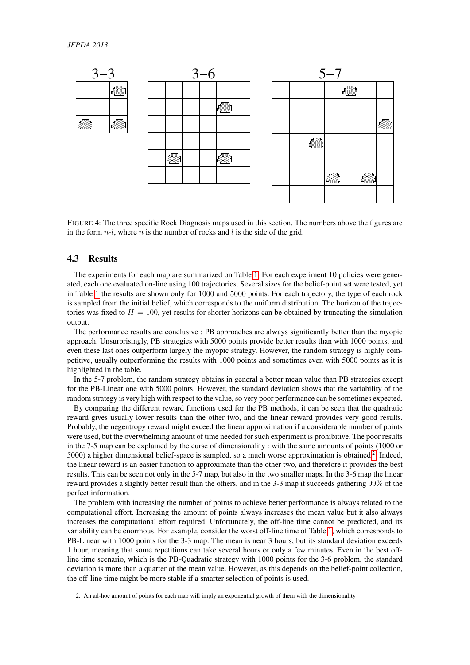<span id="page-10-0"></span>

FIGURE 4: The three specific Rock Diagnosis maps used in this section. The numbers above the figures are in the form  $n-l$ , where n is the number of rocks and l is the side of the grid.

#### 4.3 Results

The experiments for each map are summarized on Table [1.](#page-11-0) For each experiment 10 policies were generated, each one evaluated on-line using 100 trajectories. Several sizes for the belief-point set were tested, yet in Table [1](#page-11-0) the results are shown only for 1000 and 5000 points. For each trajectory, the type of each rock is sampled from the initial belief, which corresponds to the uniform distribution. The horizon of the trajectories was fixed to  $H = 100$ , yet results for shorter horizons can be obtained by truncating the simulation output.

The performance results are conclusive : PB approaches are always significantly better than the myopic approach. Unsurprisingly, PB strategies with 5000 points provide better results than with 1000 points, and even these last ones outperform largely the myopic strategy. However, the random strategy is highly competitive, usually outperforming the results with 1000 points and sometimes even with 5000 points as it is highlighted in the table.

In the 5-7 problem, the random strategy obtains in general a better mean value than PB strategies except for the PB-Linear one with 5000 points. However, the standard deviation shows that the variability of the random strategy is very high with respect to the value, so very poor performance can be sometimes expected.

By comparing the different reward functions used for the PB methods, it can be seen that the quadratic reward gives usually lower results than the other two, and the linear reward provides very good results. Probably, the negentropy reward might exceed the linear approximation if a considerable number of points were used, but the overwhelming amount of time needed for such experiment is prohibitive. The poor results in the 7-5 map can be explained by the curse of dimensionality : with the same amounts of points (1000 or 5000) a higher dimensional belief-space is sampled, so a much worse approximation is obtained  $2$ . Indeed, the linear reward is an easier function to approximate than the other two, and therefore it provides the best results. This can be seen not only in the 5-7 map, but also in the two smaller maps. In the 3-6 map the linear reward provides a slightly better result than the others, and in the 3-3 map it succeeds gathering 99% of the perfect information.

The problem with increasing the number of points to achieve better performance is always related to the computational effort. Increasing the amount of points always increases the mean value but it also always increases the computational effort required. Unfortunately, the off-line time cannot be predicted, and its variability can be enormous. For example, consider the worst off-line time of Table [1,](#page-11-0) which corresponds to PB-Linear with 1000 points for the 3-3 map. The mean is near 3 hours, but its standard deviation exceeds 1 hour, meaning that some repetitions can take several hours or only a few minutes. Even in the best offline time scenario, which is the PB-Quadratic strategy with 1000 points for the 3-6 problem, the standard deviation is more than a quarter of the mean value. However, as this depends on the belief-point collection, the off-line time might be more stable if a smarter selection of points is used.

<span id="page-10-1"></span><sup>2.</sup> An ad-hoc amount of points for each map will imply an exponential growth of them with the dimensionality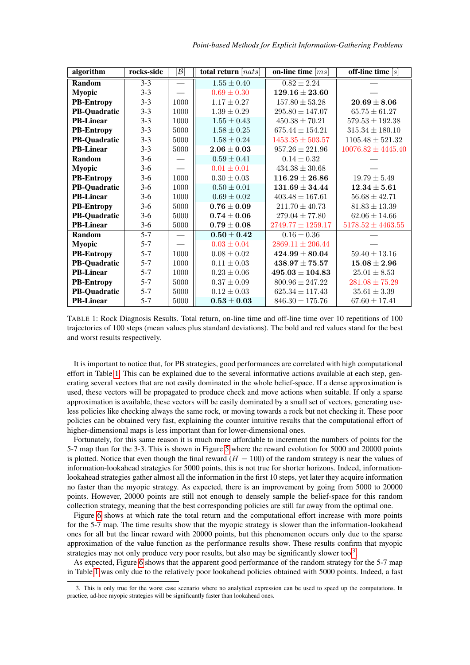<span id="page-11-0"></span>

| algorithm           | rocks-side | $ \mathcal{B} $ | total return $[ nats]$ | on-line time $\left[ms\right]$ | off-line time $[s]$                |
|---------------------|------------|-----------------|------------------------|--------------------------------|------------------------------------|
| Random              | $3 - 3$    |                 | $1.55 \pm 0.40$        | $0.82 \pm 2.24$                |                                    |
| <b>Myopic</b>       | $3 - 3$    |                 | $0.69 \pm 0.30$        | $129.16 \pm 23.60$             |                                    |
| <b>PB-Entropy</b>   | $3 - 3$    | 1000            | $1.17 \pm 0.27$        | $157.80 \pm 53.28$             | $20.69 \pm 8.06$                   |
| <b>PB-Quadratic</b> | $3 - 3$    | 1000            | $1.39 \pm 0.29$        | $295.80 \pm 147.07$            | $65.75 \pm 61.27$                  |
| <b>PB-Linear</b>    | $3 - 3$    | 1000            | $1.55\pm0.43$          | $450.38 \pm 70.21$             | $579.53 \pm 192.38$                |
| <b>PB-Entropy</b>   | $3 - 3$    | 5000            | $1.58 \pm 0.25$        | $675.44 \pm 154.21$            | $315.34 \pm 180.10$                |
| <b>PB-Quadratic</b> | $3 - 3$    | 5000            | $1.58 \pm 0.24$        | $1453.35 \pm 503.57$           | $1105.48 \pm 521.32$               |
| <b>PB-Linear</b>    | $3 - 3$    | 5000            | $2.06 \pm 0.03$        | $957.26 \pm 221.96$            | $10076.82 \pm 4445.40$             |
| Random              | $3-6$      |                 | $0.59 \pm 0.41$        | $0.14 \pm 0.32$                |                                    |
| <b>Myopic</b>       | $3-6$      |                 | $0.01 \pm 0.01$        | $434.38 \pm 30.68$             |                                    |
| <b>PB-Entropy</b>   | $3-6$      | 1000            | $0.30 \pm 0.03$        | $116.29 \pm 26.86$             | $19.79\pm5.49$                     |
| PB-Quadratic        | $3-6$      | 1000            | $0.50 \pm 0.01$        | $131.69 \pm 34.44$             | $\textbf{12.34} \pm \textbf{5.61}$ |
| <b>PB-Linear</b>    | $3-6$      | 1000            | $0.69 \pm 0.02$        | $403.48 \pm 167.61$            | $56.68 \pm 42.71$                  |
| <b>PB-Entropy</b>   | $3-6$      | 5000            | $0.76 \pm 0.09$        | $211.70 \pm 40.73$             | $81.83 \pm 13.39$                  |
| <b>PB-Quadratic</b> | $3-6$      | 5000            | $0.74 \pm 0.06$        | $279.04 \pm 77.80$             | $62.06 \pm 14.66$                  |
| <b>PB-Linear</b>    | $3-6$      | 5000            | $0.79\pm0.08$          | $2749.77 \pm 1259.17$          | $5178.52 \pm 4463.55$              |
| Random              | $5 - 7$    |                 | $0.50\pm0.42$          | $0.16 \pm 0.36$                |                                    |
| <b>Myopic</b>       | $5 - 7$    |                 | $0.03 \pm 0.04$        | $2869.11 \pm 206.44$           |                                    |
| <b>PB-Entropy</b>   | $5 - 7$    | 1000            | $0.08 \pm 0.02$        | $424.99 \pm 80.04$             | $59.40 \pm 13.16$                  |
| <b>PB-Quadratic</b> | $5 - 7$    | 1000            | $0.11 \pm 0.03$        | $438.97 + 75.57$               | $15.08 \pm 2.96$                   |
| <b>PB-Linear</b>    | $5 - 7$    | 1000            | $0.23 \pm 0.06$        | $495.03 \pm 104.83$            | $25.01 \pm 8.53$                   |
| <b>PB-Entropy</b>   | $5 - 7$    | 5000            | $0.37 \pm 0.09$        | $800.96 \pm 247.22$            | $281.08 \pm 75.29$                 |
| <b>PB-Quadratic</b> | $5 - 7$    | 5000            | $0.12 \pm 0.03$        | $625.34 \pm 117.43$            | $35.61 \pm 3.39$                   |
| <b>PB-Linear</b>    | $5 - 7$    | 5000            | $0.53 \pm 0.03$        | $846.30 \pm 175.76$            | $67.60 \pm 17.41$                  |

TABLE 1: Rock Diagnosis Results. Total return, on-line time and off-line time over 10 repetitions of 100 trajectories of 100 steps (mean values plus standard deviations). The bold and red values stand for the best and worst results respectively.

It is important to notice that, for PB strategies, good performances are correlated with high computational effort in Table [1.](#page-11-0) This can be explained due to the several informative actions available at each step, generating several vectors that are not easily dominated in the whole belief-space. If a dense approximation is used, these vectors will be propagated to produce check and move actions when suitable. If only a sparse approximation is available, these vectors will be easily dominated by a small set of vectors, generating useless policies like checking always the same rock, or moving towards a rock but not checking it. These poor policies can be obtained very fast, explaining the counter intuitive results that the computational effort of higher-dimensional maps is less important than for lower-dimensional ones.

Fortunately, for this same reason it is much more affordable to increment the numbers of points for the 5-7 map than for the 3-3. This is shown in Figure [5](#page-12-1) where the reward evolution for 5000 and 20000 points is plotted. Notice that even though the final reward  $(H = 100)$  of the random strategy is near the values of information-lookahead strategies for 5000 points, this is not true for shorter horizons. Indeed, informationlookahead strategies gather almost all the information in the first 10 steps, yet later they acquire information no faster than the myopic strategy. As expected, there is an improvement by going from 5000 to 20000 points. However, 20000 points are still not enough to densely sample the belief-space for this random collection strategy, meaning that the best corresponding policies are still far away from the optimal one.

Figure [6](#page-12-2) shows at which rate the total return and the computational effort increase with more points for the 5-7 map. The time results show that the myopic strategy is slower than the information-lookahead ones for all but the linear reward with 20000 points, but this phenomenon occurs only due to the sparse approximation of the value function as the performance results show. These results confirm that myopic strategies may not only produce very poor results, but also may be significantly slower too<sup>[3](#page-11-1)</sup>.

As expected, Figure [6](#page-12-2) shows that the apparent good performance of the random strategy for the 5-7 map in Table [1](#page-11-0) was only due to the relatively poor lookahead policies obtained with 5000 points. Indeed, a fast

<span id="page-11-1"></span><sup>3.</sup> This is only true for the worst case scenario where no analytical expression can be used to speed up the computations. In practice, ad-hoc myopic strategies will be significantly faster than lookahead ones.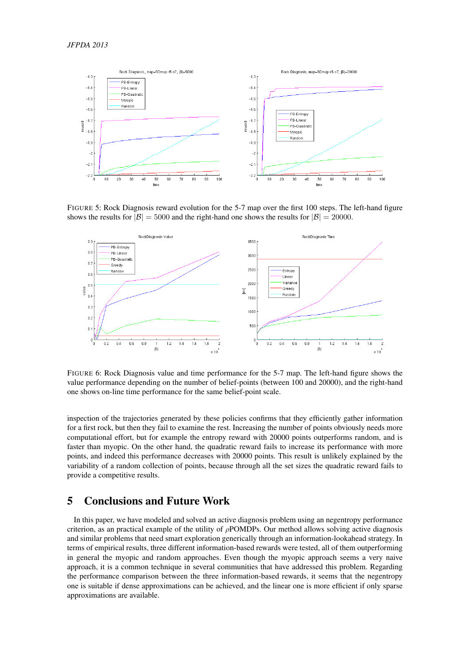<span id="page-12-1"></span>

FIGURE 5: Rock Diagnosis reward evolution for the 5-7 map over the first 100 steps. The left-hand figure shows the results for  $|\mathcal{B}| = 5000$  and the right-hand one shows the results for  $|\mathcal{B}| = 20000$ .

<span id="page-12-2"></span>

FIGURE 6: Rock Diagnosis value and time performance for the 5-7 map. The left-hand figure shows the value performance depending on the number of belief-points (between 100 and 20000), and the right-hand one shows on-line time performance for the same belief-point scale.

inspection of the trajectories generated by these policies confirms that they efficiently gather information for a first rock, but then they fail to examine the rest. Increasing the number of points obviously needs more computational effort, but for example the entropy reward with 20000 points outperforms random, and is faster than myopic. On the other hand, the quadratic reward fails to increase its performance with more points, and indeed this performance decreases with 20000 points. This result is unlikely explained by the variability of a random collection of points, because through all the set sizes the quadratic reward fails to provide a competitive results.

## <span id="page-12-0"></span>5 Conclusions and Future Work

In this paper, we have modeled and solved an active diagnosis problem using an negentropy performance criterion, as an practical example of the utility of  $\rho$ POMDPs. Our method allows solving active diagnosis and similar problems that need smart exploration generically through an information-lookahead strategy. In terms of empirical results, three different information-based rewards were tested, all of them outperforming in general the myopic and random approaches. Even though the myopic approach seems a very naive approach, it is a common technique in several communities that have addressed this problem. Regarding the performance comparison between the three information-based rewards, it seems that the negentropy one is suitable if dense approximations can be achieved, and the linear one is more efficient if only sparse approximations are available.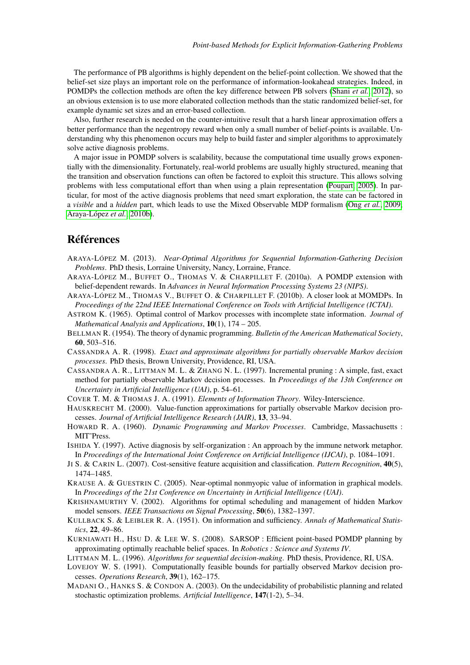The performance of PB algorithms is highly dependent on the belief-point collection. We showed that the belief-set size plays an important role on the performance of information-lookahead strategies. Indeed, in POMDPs the collection methods are often the key difference between PB solvers [\(Shani](#page-14-15) *et al.*, [2012\)](#page-14-15), so an obvious extension is to use more elaborated collection methods than the static randomized belief-set, for example dynamic set sizes and an error-based collection.

Also, further research is needed on the counter-intuitive result that a harsh linear approximation offers a better performance than the negentropy reward when only a small number of belief-points is available. Understanding why this phenomenon occurs may help to build faster and simpler algorithms to approximately solve active diagnosis problems.

A major issue in POMDP solvers is scalability, because the computational time usually grows exponentially with the dimensionality. Fortunately, real-world problems are usually highly structured, meaning that the transition and observation functions can often be factored to exploit this structure. This allows solving problems with less computational effort than when using a plain representation [\(Poupart, 2005\)](#page-14-19). In particular, for most of the active diagnosis problems that need smart exploration, the state can be factored in a *visible* and a *hidden* part, which leads to use the Mixed Observable MDP formalism (Ong *[et al.](#page-14-20)*, [2009;](#page-14-20) [Araya-López](#page-13-18) *et al.*, [2010b\)](#page-13-18).

## Références

- <span id="page-13-3"></span>ARAYA-LÓPEZ M. (2013). *Near-Optimal Algorithms for Sequential Information-Gathering Decision Problems*. PhD thesis, Lorraine University, Nancy, Lorraine, France.
- <span id="page-13-2"></span>ARAYA-LÓPEZ M., BUFFET O., THOMAS V. & CHARPILLET F. (2010a). A POMDP extension with belief-dependent rewards. In *Advances in Neural Information Processing Systems 23 (NIPS)*.
- <span id="page-13-18"></span>ARAYA-LÓPEZ M., THOMAS V., BUFFET O. & CHARPILLET F. (2010b). A closer look at MOMDPs. In *Proceedings of the 22nd IEEE International Conference on Tools with Artificial Intelligence (ICTAI)*.
- <span id="page-13-8"></span>ASTROM K. (1965). Optimal control of Markov processes with incomplete state information. *Journal of Mathematical Analysis and Applications*, 10(1), 174 – 205.
- <span id="page-13-6"></span>BELLMAN R. (1954). The theory of dynamic programming. *Bulletin of the American Mathematical Society*, 60, 503–516.
- <span id="page-13-9"></span>CASSANDRA A. R. (1998). *Exact and approximate algorithms for partially observable Markov decision processes*. PhD thesis, Brown University, Providence, RI, USA.
- <span id="page-13-15"></span>CASSANDRA A. R., LITTMAN M. L. & ZHANG N. L. (1997). Incremental pruning : A simple, fast, exact method for partially observable Markov decision processes. In *Proceedings of the 13th Conference on Uncertainty in Artificial Intelligence (UAI)*, p. 54–61.
- <span id="page-13-16"></span>COVER T. M. & THOMAS J. A. (1991). *Elements of Information Theory*. Wiley-Interscience.
- <span id="page-13-13"></span>HAUSKRECHT M. (2000). Value-function approximations for partially observable Markov decision processes. *Journal of Artificial Intelligence Research (JAIR)*, 13, 33–94.
- <span id="page-13-7"></span>HOWARD R. A. (1960). *Dynamic Programming and Markov Processes*. Cambridge, Massachusetts : MIT˜Press.
- <span id="page-13-0"></span>ISHIDA Y. (1997). Active diagnosis by self-organization : An approach by the immune network metaphor. In *Proceedings of the International Joint Conference on Artificial Intelligence (IJCAI)*, p. 1084–1091.
- <span id="page-13-1"></span>JI S. & CARIN L. (2007). Cost-sensitive feature acquisition and classification. *Pattern Recognition*, 40(5), 1474–1485.
- <span id="page-13-4"></span>KRAUSE A. & GUESTRIN C. (2005). Near-optimal nonmyopic value of information in graphical models. In *Proceedings of the 21st Conference on Uncertainty in Artificial Intelligence (UAI)*.
- <span id="page-13-5"></span>KRISHNAMURTHY V. (2002). Algorithms for optimal scheduling and management of hidden Markov model sensors. *IEEE Transactions on Signal Processing*, 50(6), 1382–1397.
- <span id="page-13-17"></span>KULLBACK S. & LEIBLER R. A. (1951). On information and sufficiency. *Annals of Mathematical Statistics*, 22, 49–86.
- <span id="page-13-14"></span>KURNIAWATI H., HSU D. & LEE W. S. (2008). SARSOP : Efficient point-based POMDP planning by approximating optimally reachable belief spaces. In *Robotics : Science and Systems IV*.
- <span id="page-13-12"></span>LITTMAN M. L. (1996). *Algorithms for sequential decision-making*. PhD thesis, Providence, RI, USA.
- <span id="page-13-10"></span>LOVEJOY W. S. (1991). Computationally feasible bounds for partially observed Markov decision processes. *Operations Research*, 39(1), 162–175.
- <span id="page-13-11"></span>MADANI O., HANKS S. & CONDON A. (2003). On the undecidability of probabilistic planning and related stochastic optimization problems. *Artificial Intelligence*, 147(1-2), 5–34.